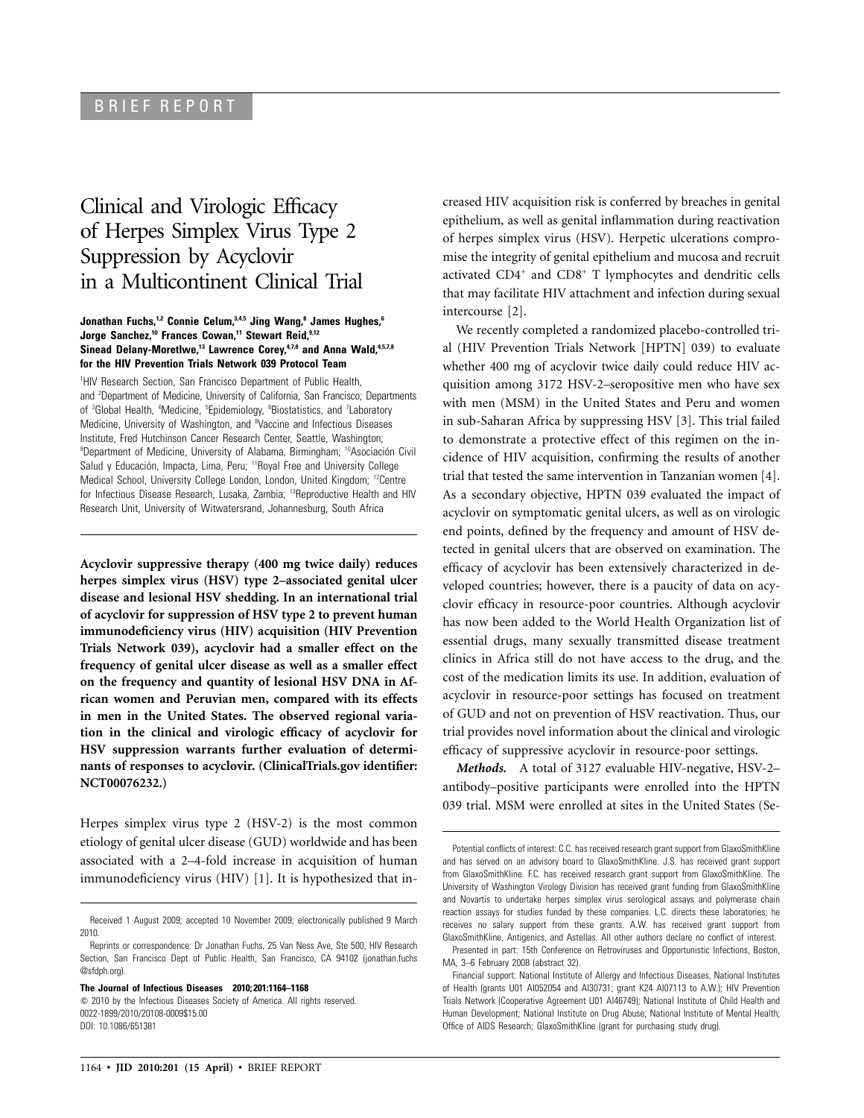# BRIEF REPORT

# Clinical and Virologic Efficacy of Herpes Simplex Virus Type 2 Suppression by Acyclovir in a Multicontinent Clinical Trial

## **Jonathan Fuchs,1,2 Connie Celum,3,4,5 Jing Wang,8 James Hughes,6 Jorge Sanchez,10 Frances Cowan,11 Stewart Reid,9,12** Sinead Delany-Moretlwe,<sup>13</sup> Lawrence Corey,<sup>4,7,8</sup> and Anna Wald,<sup>4,5,7,8</sup> **for the HIV Prevention Trials Network 039 Protocol Team**

<sup>1</sup>HIV Research Section, San Francisco Department of Public Health, and <sup>2</sup>Department of Medicine, University of California, San Francisco; Departments of <sup>3</sup>Global Health, <sup>4</sup>Medicine, <sup>5</sup>Epidemiology, <sup>6</sup>Biostatistics, and <sup>7</sup>Laboratory Medicine, University of Washington, and <sup>8</sup>Vaccine and Infectious Diseases Institute, Fred Hutchinson Cancer Research Center, Seattle, Washington; <sup>9</sup>Department of Medicine, University of Alabama, Birmingham; <sup>10</sup>Asociación Civil Salud y Educación, Impacta, Lima, Peru; <sup>11</sup>Royal Free and University College Medical School, University College London, London, United Kingdom; <sup>12</sup>Centre for Infectious Disease Research, Lusaka, Zambia; 13Reproductive Health and HIV Research Unit, University of Witwatersrand, Johannesburg, South Africa

**Acyclovir suppressive therapy (400 mg twice daily) reduces herpes simplex virus (HSV) type 2–associated genital ulcer disease and lesional HSV shedding. In an international trial of acyclovir for suppression of HSV type 2 to prevent human immunodeficiency virus (HIV) acquisition (HIV Prevention Trials Network 039), acyclovir had a smaller effect on the frequency of genital ulcer disease as well as a smaller effect on the frequency and quantity of lesional HSV DNA in African women and Peruvian men, compared with its effects in men in the United States. The observed regional variation in the clinical and virologic efficacy of acyclovir for HSV suppression warrants further evaluation of determinants of responses to acyclovir. (ClinicalTrials.gov identifier: NCT00076232.)**

Herpes simplex virus type 2 (HSV-2) is the most common etiology of genital ulcer disease (GUD) worldwide and has been associated with a 2–4-fold increase in acquisition of human immunodeficiency virus (HIV) [1]. It is hypothesized that in-

**The Journal of Infectious Diseases 2010; 201:1164–1168**

creased HIV acquisition risk is conferred by breaches in genital epithelium, as well as genital inflammation during reactivation of herpes simplex virus (HSV). Herpetic ulcerations compromise the integrity of genital epithelium and mucosa and recruit activated  $CD4^+$  and  $CD8^+$  T lymphocytes and dendritic cells that may facilitate HIV attachment and infection during sexual intercourse [2].

We recently completed a randomized placebo-controlled trial (HIV Prevention Trials Network [HPTN] 039) to evaluate whether 400 mg of acyclovir twice daily could reduce HIV acquisition among 3172 HSV-2–seropositive men who have sex with men (MSM) in the United States and Peru and women in sub-Saharan Africa by suppressing HSV [3]. This trial failed to demonstrate a protective effect of this regimen on the incidence of HIV acquisition, confirming the results of another trial that tested the same intervention in Tanzanian women [4]. As a secondary objective, HPTN 039 evaluated the impact of acyclovir on symptomatic genital ulcers, as well as on virologic end points, defined by the frequency and amount of HSV detected in genital ulcers that are observed on examination. The efficacy of acyclovir has been extensively characterized in developed countries; however, there is a paucity of data on acyclovir efficacy in resource-poor countries. Although acyclovir has now been added to the World Health Organization list of essential drugs, many sexually transmitted disease treatment clinics in Africa still do not have access to the drug, and the cost of the medication limits its use. In addition, evaluation of acyclovir in resource-poor settings has focused on treatment of GUD and not on prevention of HSV reactivation. Thus, our trial provides novel information about the clinical and virologic efficacy of suppressive acyclovir in resource-poor settings.

*Methods.* A total of 3127 evaluable HIV-negative, HSV-2– antibody–positive participants were enrolled into the HPTN 039 trial. MSM were enrolled at sites in the United States (Se-

Received 1 August 2009; accepted 10 November 2009; electronically published 9 March 2010.

Reprints or correspondence: Dr Jonathan Fuchs, 25 Van Ness Ave, Ste 500, HIV Research Section, San Francisco Dept of Public Health, San Francisco, CA 94102 (jonathan.fuchs @sfdph.org).

 $\degree$  2010 by the Infectious Diseases Society of America. All rights reserved. 0022-1899/2010/20108-0009\$15.00 DOI: 10.1086/651381

Potential conflicts of interest: C.C. has received research grant support from GlaxoSmithKline and has served on an advisory board to GlaxoSmithKline. J.S. has received grant support from GlaxoSmithKline. F.C. has received research grant support from GlaxoSmithKline. The University of Washington Virology Division has received grant funding from GlaxoSmithKline and Novartis to undertake herpes simplex virus serological assays and polymerase chain reaction assays for studies funded by these companies. L.C. directs these laboratories; he receives no salary support from these grants. A.W. has received grant support from GlaxoSmithKline, Antigenics, and Astellas. All other authors declare no conflict of interest.

Presented in part: 15th Conference on Retroviruses and Opportunistic Infections, Boston, MA, 3–6 February 2008 (abstract 32).

Financial support: National Institute of Allergy and Infectious Diseases, National Institutes of Health (grants U01 AI052054 and AI30731; grant K24 AI07113 to A.W.); HIV Prevention Trials Network (Cooperative Agreement U01 AI46749); National Institute of Child Health and Human Development; National Institute on Drug Abuse; National Institute of Mental Health; Office of AIDS Research; GlaxoSmithKline (grant for purchasing study drug).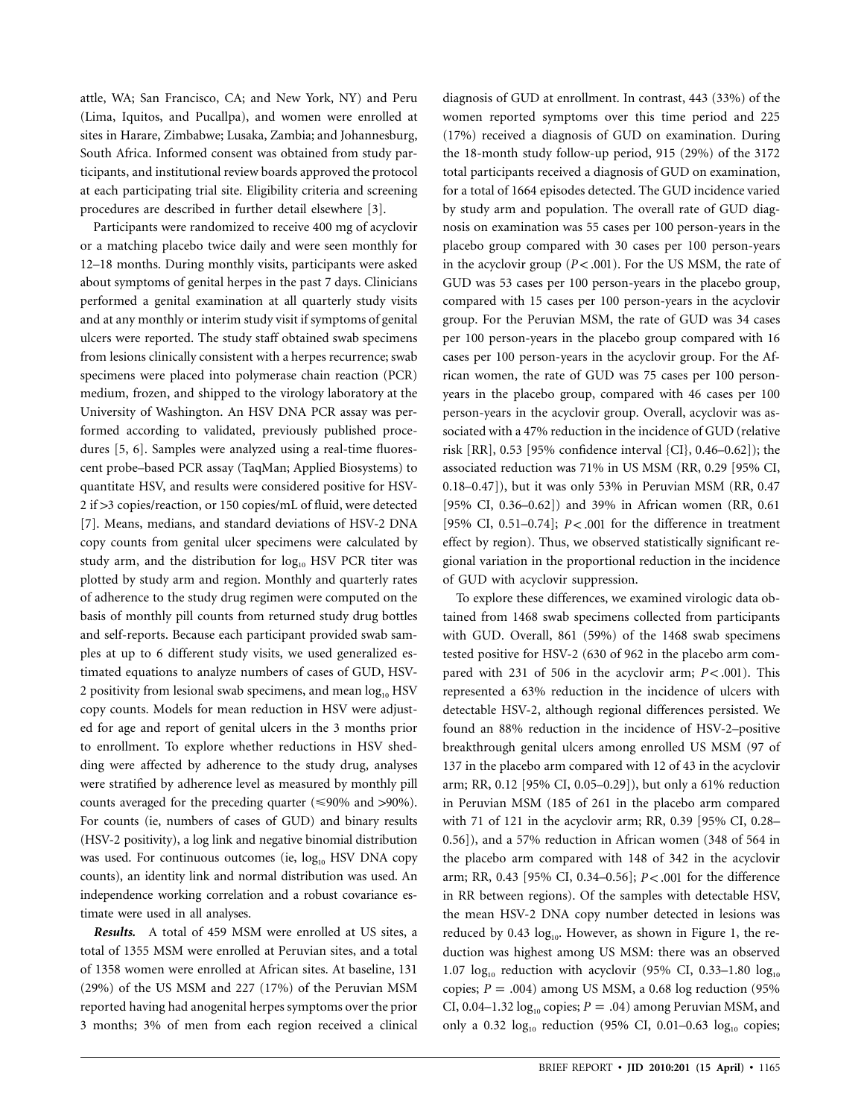attle, WA; San Francisco, CA; and New York, NY) and Peru (Lima, Iquitos, and Pucallpa), and women were enrolled at sites in Harare, Zimbabwe; Lusaka, Zambia; and Johannesburg, South Africa. Informed consent was obtained from study participants, and institutional review boards approved the protocol at each participating trial site. Eligibility criteria and screening procedures are described in further detail elsewhere [3].

Participants were randomized to receive 400 mg of acyclovir or a matching placebo twice daily and were seen monthly for 12–18 months. During monthly visits, participants were asked about symptoms of genital herpes in the past 7 days. Clinicians performed a genital examination at all quarterly study visits and at any monthly or interim study visit if symptoms of genital ulcers were reported. The study staff obtained swab specimens from lesions clinically consistent with a herpes recurrence; swab specimens were placed into polymerase chain reaction (PCR) medium, frozen, and shipped to the virology laboratory at the University of Washington. An HSV DNA PCR assay was performed according to validated, previously published procedures [5, 6]. Samples were analyzed using a real-time fluorescent probe–based PCR assay (TaqMan; Applied Biosystems) to quantitate HSV, and results were considered positive for HSV-2 if >3 copies/reaction, or 150 copies/mL of fluid, were detected [7]. Means, medians, and standard deviations of HSV-2 DNA copy counts from genital ulcer specimens were calculated by study arm, and the distribution for  $log_{10}$  HSV PCR titer was plotted by study arm and region. Monthly and quarterly rates of adherence to the study drug regimen were computed on the basis of monthly pill counts from returned study drug bottles and self-reports. Because each participant provided swab samples at up to 6 different study visits, we used generalized estimated equations to analyze numbers of cases of GUD, HSV-2 positivity from lesional swab specimens, and mean  $log_{10}$  HSV copy counts. Models for mean reduction in HSV were adjusted for age and report of genital ulcers in the 3 months prior to enrollment. To explore whether reductions in HSV shedding were affected by adherence to the study drug, analyses were stratified by adherence level as measured by monthly pill counts averaged for the preceding quarter ( $\leq 90\%$  and  $> 90\%$ ). For counts (ie, numbers of cases of GUD) and binary results (HSV-2 positivity), a log link and negative binomial distribution was used. For continuous outcomes (ie,  $log_{10}$  HSV DNA copy counts), an identity link and normal distribution was used. An independence working correlation and a robust covariance estimate were used in all analyses.

*Results.* A total of 459 MSM were enrolled at US sites, a total of 1355 MSM were enrolled at Peruvian sites, and a total of 1358 women were enrolled at African sites. At baseline, 131 (29%) of the US MSM and 227 (17%) of the Peruvian MSM reported having had anogenital herpes symptoms over the prior 3 months; 3% of men from each region received a clinical

diagnosis of GUD at enrollment. In contrast, 443 (33%) of the women reported symptoms over this time period and 225 (17%) received a diagnosis of GUD on examination. During the 18-month study follow-up period, 915 (29%) of the 3172 total participants received a diagnosis of GUD on examination, for a total of 1664 episodes detected. The GUD incidence varied by study arm and population. The overall rate of GUD diagnosis on examination was 55 cases per 100 person-years in the placebo group compared with 30 cases per 100 person-years in the acyclovir group  $(P < .001)$ . For the US MSM, the rate of GUD was 53 cases per 100 person-years in the placebo group, compared with 15 cases per 100 person-years in the acyclovir group. For the Peruvian MSM, the rate of GUD was 34 cases per 100 person-years in the placebo group compared with 16 cases per 100 person-years in the acyclovir group. For the African women, the rate of GUD was 75 cases per 100 personyears in the placebo group, compared with 46 cases per 100 person-years in the acyclovir group. Overall, acyclovir was associated with a 47% reduction in the incidence of GUD (relative risk [RR], 0.53 [95% confidence interval {CI}, 0.46–0.62]); the associated reduction was 71% in US MSM (RR, 0.29 [95% CI, 0.18–0.47]), but it was only 53% in Peruvian MSM (RR, 0.47 [95% CI, 0.36–0.62]) and 39% in African women (RR, 0.61 [95% CI, 0.51-0.74]; *P<* .001 for the difference in treatment effect by region). Thus, we observed statistically significant regional variation in the proportional reduction in the incidence of GUD with acyclovir suppression.

To explore these differences, we examined virologic data obtained from 1468 swab specimens collected from participants with GUD. Overall, 861 (59%) of the 1468 swab specimens tested positive for HSV-2 (630 of 962 in the placebo arm compared with  $231$  of  $506$  in the acyclovir arm;  $P < .001$ ). This represented a 63% reduction in the incidence of ulcers with detectable HSV-2, although regional differences persisted. We found an 88% reduction in the incidence of HSV-2–positive breakthrough genital ulcers among enrolled US MSM (97 of 137 in the placebo arm compared with 12 of 43 in the acyclovir arm; RR, 0.12 [95% CI, 0.05–0.29]), but only a 61% reduction in Peruvian MSM (185 of 261 in the placebo arm compared with 71 of 121 in the acyclovir arm; RR, 0.39 [95% CI, 0.28– 0.56]), and a 57% reduction in African women (348 of 564 in the placebo arm compared with 148 of 342 in the acyclovir arm; RR, 0.43 [95% CI, 0.34-0.56]; *P* < .001 for the difference in RR between regions). Of the samples with detectable HSV, the mean HSV-2 DNA copy number detected in lesions was reduced by 0.43  $log_{10}$ . However, as shown in Figure 1, the reduction was highest among US MSM: there was an observed 1.07  $log_{10}$  reduction with acyclovir (95% CI, 0.33–1.80  $log_{10}$ copies;  $P = .004$ ) among US MSM, a 0.68 log reduction (95% CI, 0.04–1.32  $log_{10}$  copies;  $P = .04$ ) among Peruvian MSM, and only a 0.32  $log_{10}$  reduction (95% CI, 0.01–0.63  $log_{10}$  copies;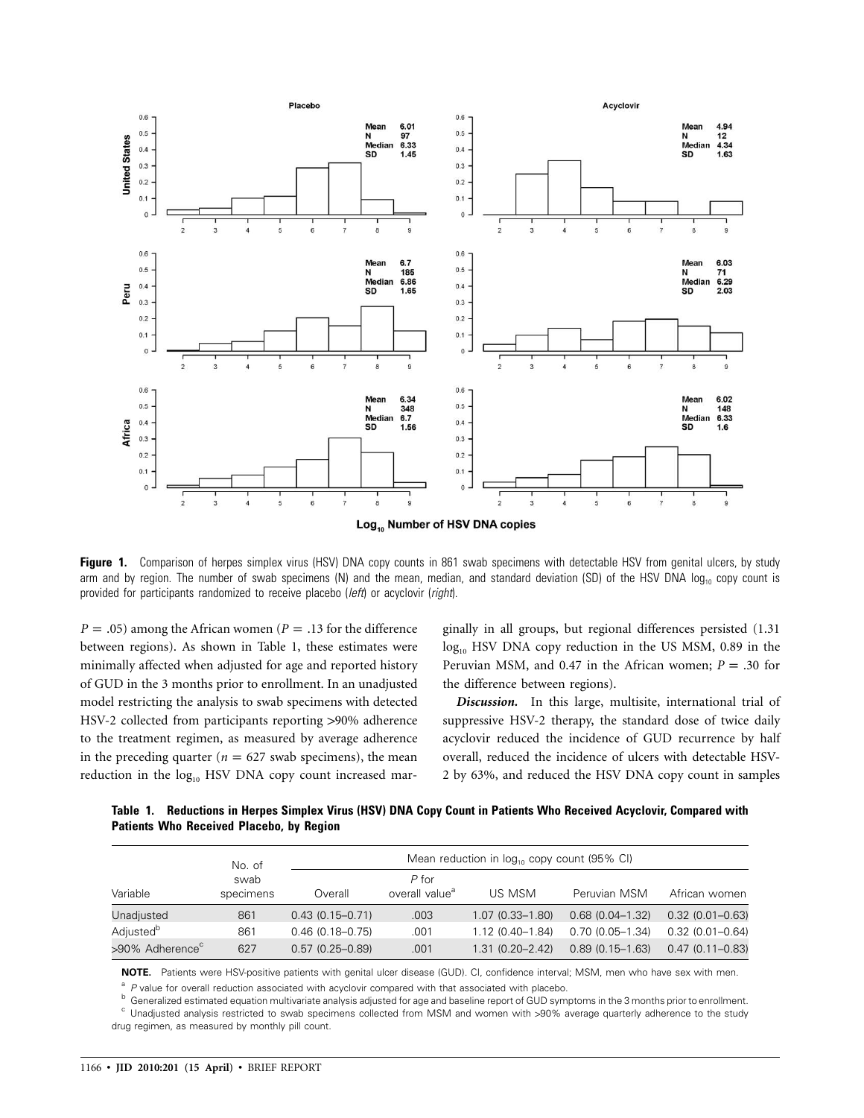

Figure 1. Comparison of herpes simplex virus (HSV) DNA copy counts in 861 swab specimens with detectable HSV from genital ulcers, by study arm and by region. The number of swab specimens (N) and the mean, median, and standard deviation (SD) of the HSV DNA  $log_{10}$  copy count is provided for participants randomized to receive placebo (*left*) or acyclovir (*right*).

 $P = .05$ ) among the African women ( $P = .13$  for the difference between regions). As shown in Table 1, these estimates were minimally affected when adjusted for age and reported history of GUD in the 3 months prior to enrollment. In an unadjusted model restricting the analysis to swab specimens with detected HSV-2 collected from participants reporting >90% adherence to the treatment regimen, as measured by average adherence in the preceding quarter ( $n = 627$  swab specimens), the mean reduction in the log<sub>10</sub> HSV DNA copy count increased mar-

ginally in all groups, but regional differences persisted (1.31  $log_{10}$  HSV DNA copy reduction in the US MSM, 0.89 in the Peruvian MSM, and 0.47 in the African women;  $P = .30$  for the difference between regions).

*Discussion.* In this large, multisite, international trial of suppressive HSV-2 therapy, the standard dose of twice daily acyclovir reduced the incidence of GUD recurrence by half overall, reduced the incidence of ulcers with detectable HSV-2 by 63%, and reduced the HSV DNA copy count in samples

**Table 1. Reductions in Herpes Simplex Virus (HSV) DNA Copy Count in Patients Who Received Acyclovir, Compared with Patients Who Received Placebo, by Region**

| Variable                    | No. of<br>swab<br>specimens | Mean reduction in log <sub>10</sub> copy count (95% CI) |                                       |                     |                     |                     |
|-----------------------------|-----------------------------|---------------------------------------------------------|---------------------------------------|---------------------|---------------------|---------------------|
|                             |                             | Overall                                                 | $P$ for<br>overall value <sup>a</sup> | US MSM              | Peruvian MSM        | African women       |
| Unadjusted                  | 861                         | $0.43(0.15 - 0.71)$                                     | .003                                  | $1.07(0.33 - 1.80)$ | $0.68(0.04 - 1.32)$ | $0.32(0.01 - 0.63)$ |
| Adjusted <sup>b</sup>       | 861                         | $0.46(0.18 - 0.75)$                                     | .001                                  | $1.12(0.40 - 1.84)$ | $0.70(0.05 - 1.34)$ | $0.32(0.01 - 0.64)$ |
| >90% Adherence <sup>c</sup> | 627                         | $0.57(0.25 - 0.89)$                                     | .001                                  | $1.31(0.20 - 2.42)$ | $0.89(0.15 - 1.63)$ | $0.47(0.11 - 0.83)$ |

**NOTE.** Patients were HSV-positive patients with genital ulcer disease (GUD). CI, confidence interval; MSM, men who have sex with men.

 $^{\text{a}}$  P value for overall reduction associated with acyclovir compared with that associated with placebo.<br>  $^{\text{b}}$  Generalized estimated equation multivariate analysis adjusted for age and baseline report of GUD sympt

drug regimen, as measured by monthly pill count.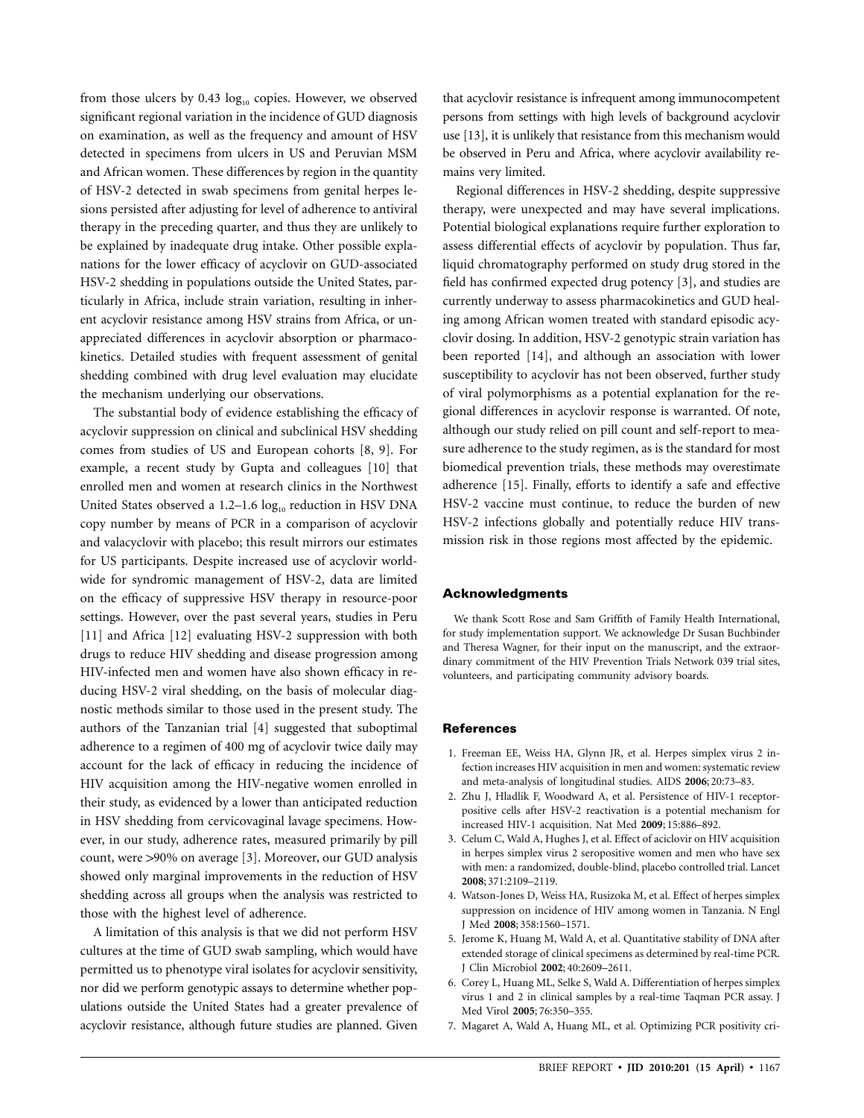from those ulcers by  $0.43 \log_{10}$  copies. However, we observed significant regional variation in the incidence of GUD diagnosis on examination, as well as the frequency and amount of HSV detected in specimens from ulcers in US and Peruvian MSM and African women. These differences by region in the quantity of HSV-2 detected in swab specimens from genital herpes lesions persisted after adjusting for level of adherence to antiviral therapy in the preceding quarter, and thus they are unlikely to be explained by inadequate drug intake. Other possible explanations for the lower efficacy of acyclovir on GUD-associated HSV-2 shedding in populations outside the United States, particularly in Africa, include strain variation, resulting in inherent acyclovir resistance among HSV strains from Africa, or unappreciated differences in acyclovir absorption or pharmacokinetics. Detailed studies with frequent assessment of genital shedding combined with drug level evaluation may elucidate the mechanism underlying our observations.

The substantial body of evidence establishing the efficacy of acyclovir suppression on clinical and subclinical HSV shedding comes from studies of US and European cohorts [8, 9]. For example, a recent study by Gupta and colleagues [10] that enrolled men and women at research clinics in the Northwest United States observed a 1.2–1.6  $log_{10}$  reduction in HSV DNA copy number by means of PCR in a comparison of acyclovir and valacyclovir with placebo; this result mirrors our estimates for US participants. Despite increased use of acyclovir worldwide for syndromic management of HSV-2, data are limited on the efficacy of suppressive HSV therapy in resource-poor settings. However, over the past several years, studies in Peru [11] and Africa [12] evaluating HSV-2 suppression with both drugs to reduce HIV shedding and disease progression among HIV-infected men and women have also shown efficacy in reducing HSV-2 viral shedding, on the basis of molecular diagnostic methods similar to those used in the present study. The authors of the Tanzanian trial [4] suggested that suboptimal adherence to a regimen of 400 mg of acyclovir twice daily may account for the lack of efficacy in reducing the incidence of HIV acquisition among the HIV-negative women enrolled in their study, as evidenced by a lower than anticipated reduction in HSV shedding from cervicovaginal lavage specimens. However, in our study, adherence rates, measured primarily by pill count, were >90% on average [3]. Moreover, our GUD analysis showed only marginal improvements in the reduction of HSV shedding across all groups when the analysis was restricted to those with the highest level of adherence.

A limitation of this analysis is that we did not perform HSV cultures at the time of GUD swab sampling, which would have permitted us to phenotype viral isolates for acyclovir sensitivity, nor did we perform genotypic assays to determine whether populations outside the United States had a greater prevalence of acyclovir resistance, although future studies are planned. Given

that acyclovir resistance is infrequent among immunocompetent persons from settings with high levels of background acyclovir use [13], it is unlikely that resistance from this mechanism would be observed in Peru and Africa, where acyclovir availability remains very limited.

Regional differences in HSV-2 shedding, despite suppressive therapy, were unexpected and may have several implications. Potential biological explanations require further exploration to assess differential effects of acyclovir by population. Thus far, liquid chromatography performed on study drug stored in the field has confirmed expected drug potency [3], and studies are currently underway to assess pharmacokinetics and GUD healing among African women treated with standard episodic acyclovir dosing. In addition, HSV-2 genotypic strain variation has been reported [14], and although an association with lower susceptibility to acyclovir has not been observed, further study of viral polymorphisms as a potential explanation for the regional differences in acyclovir response is warranted. Of note, although our study relied on pill count and self-report to measure adherence to the study regimen, as is the standard for most biomedical prevention trials, these methods may overestimate adherence [15]. Finally, efforts to identify a safe and effective HSV-2 vaccine must continue, to reduce the burden of new HSV-2 infections globally and potentially reduce HIV transmission risk in those regions most affected by the epidemic.

### **Acknowledgments**

We thank Scott Rose and Sam Griffith of Family Health International, for study implementation support. We acknowledge Dr Susan Buchbinder and Theresa Wagner, for their input on the manuscript, and the extraordinary commitment of the HIV Prevention Trials Network 039 trial sites, volunteers, and participating community advisory boards.

#### **References**

- 1. Freeman EE, Weiss HA, Glynn JR, et al. Herpes simplex virus 2 infection increases HIV acquisition in men and women: systematic review and meta-analysis of longitudinal studies. AIDS **2006**; 20:73–83.
- 2. Zhu J, Hladlik F, Woodward A, et al. Persistence of HIV-1 receptorpositive cells after HSV-2 reactivation is a potential mechanism for increased HIV-1 acquisition. Nat Med **2009**; 15:886–892.
- 3. Celum C, Wald A, Hughes J, et al. Effect of aciclovir on HIV acquisition in herpes simplex virus 2 seropositive women and men who have sex with men: a randomized, double-blind, placebo controlled trial. Lancet **2008**; 371:2109–2119.
- 4. Watson-Jones D, Weiss HA, Rusizoka M, et al. Effect of herpes simplex suppression on incidence of HIV among women in Tanzania. N Engl J Med **2008**; 358:1560–1571.
- 5. Jerome K, Huang M, Wald A, et al. Quantitative stability of DNA after extended storage of clinical specimens as determined by real-time PCR. J Clin Microbiol **2002**; 40:2609–2611.
- 6. Corey L, Huang ML, Selke S, Wald A. Differentiation of herpes simplex virus 1 and 2 in clinical samples by a real-time Taqman PCR assay. J Med Virol **2005**; 76:350–355.
- 7. Magaret A, Wald A, Huang ML, et al. Optimizing PCR positivity cri-